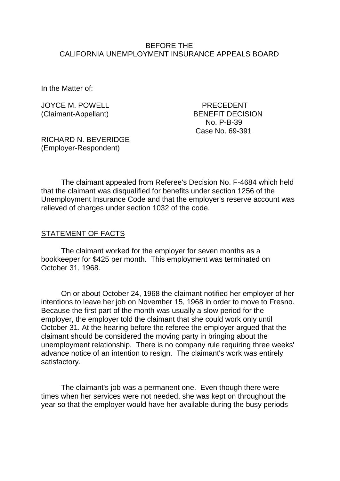#### BEFORE THE CALIFORNIA UNEMPLOYMENT INSURANCE APPEALS BOARD

In the Matter of:

JOYCE M. POWELL PRECEDENT

(Claimant-Appellant) BENEFIT DECISION No. P-B-39 Case No. 69-391

RICHARD N. BEVERIDGE (Employer-Respondent)

The claimant appealed from Referee's Decision No. F-4684 which held that the claimant was disqualified for benefits under section 1256 of the Unemployment Insurance Code and that the employer's reserve account was relieved of charges under section 1032 of the code.

#### STATEMENT OF FACTS

The claimant worked for the employer for seven months as a bookkeeper for \$425 per month. This employment was terminated on October 31, 1968.

On or about October 24, 1968 the claimant notified her employer of her intentions to leave her job on November 15, 1968 in order to move to Fresno. Because the first part of the month was usually a slow period for the employer, the employer told the claimant that she could work only until October 31. At the hearing before the referee the employer argued that the claimant should be considered the moving party in bringing about the unemployment relationship. There is no company rule requiring three weeks' advance notice of an intention to resign. The claimant's work was entirely satisfactory.

The claimant's job was a permanent one. Even though there were times when her services were not needed, she was kept on throughout the year so that the employer would have her available during the busy periods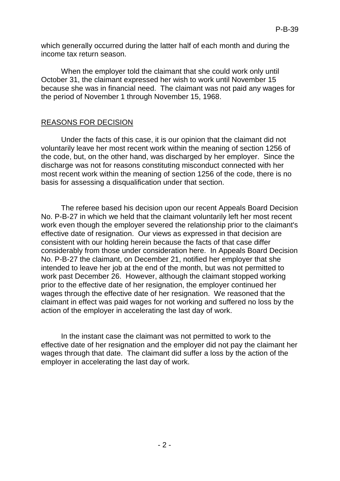which generally occurred during the latter half of each month and during the income tax return season.

When the employer told the claimant that she could work only until October 31, the claimant expressed her wish to work until November 15 because she was in financial need. The claimant was not paid any wages for the period of November 1 through November 15, 1968.

# REASONS FOR DECISION

Under the facts of this case, it is our opinion that the claimant did not voluntarily leave her most recent work within the meaning of section 1256 of the code, but, on the other hand, was discharged by her employer. Since the discharge was not for reasons constituting misconduct connected with her most recent work within the meaning of section 1256 of the code, there is no basis for assessing a disqualification under that section.

The referee based his decision upon our recent Appeals Board Decision No. P-B-27 in which we held that the claimant voluntarily left her most recent work even though the employer severed the relationship prior to the claimant's effective date of resignation. Our views as expressed in that decision are consistent with our holding herein because the facts of that case differ considerably from those under consideration here. In Appeals Board Decision No. P-B-27 the claimant, on December 21, notified her employer that she intended to leave her job at the end of the month, but was not permitted to work past December 26. However, although the claimant stopped working prior to the effective date of her resignation, the employer continued her wages through the effective date of her resignation. We reasoned that the claimant in effect was paid wages for not working and suffered no loss by the action of the employer in accelerating the last day of work.

In the instant case the claimant was not permitted to work to the effective date of her resignation and the employer did not pay the claimant her wages through that date. The claimant did suffer a loss by the action of the employer in accelerating the last day of work.